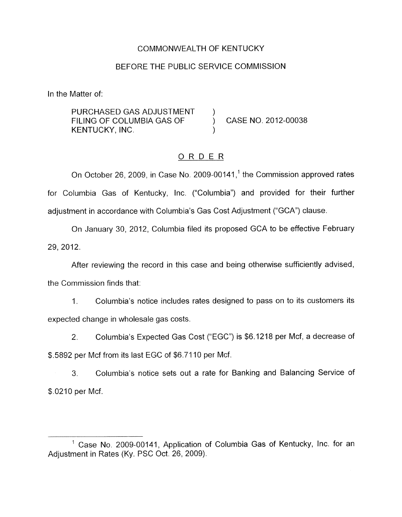### COMMONWEALTH OF KENTUCKY

#### BEFORE THE PUBLIC SERVICE COMMISSION

In the Matter of:

PURCHASED GAS ADJUSTMENT FILING OF COLUMBIA GAS OF  $\overrightarrow{)}$  CASE NO. 2012-00038 KENTUCKY, INC.

# ORDER

On October 26, 2009, in Case No. 2009-00141,<sup>1</sup> the Commission approved rates for Columbia Gas of Kentucky, Inc. ("Columbia") and provided for their further adjustment in accordance with Columbia's Gas Cost Adjustment ("GCA") clause.

On January 30, 2012, Columbia filed its proposed GCA to be effective February 29, 2012.

After reviewing the record in this case and being otherwise sufficiently advised, the Commission finds that:

1. Columbia's notice includes rates designed to pass on to its customers its expected change in wholesale gas costs.

2. Columbia's Expected Gas Cost ("EGC") is \$6.1218 per Mcf, a decrease of \$.5892 per Mcf from its last EGC of \$6.71 10 per Mcf.

3. Columbia's notice sets out a rate for Banking and Balancing Service of \$.0210 per Mcf.

<sup>&</sup>lt;sup>1</sup> Case No. 2009-00141, Application of Columbia Gas of Kentucky, Inc. for an Adjustment in Rates (Ky. PSC Oct. 26, 2009).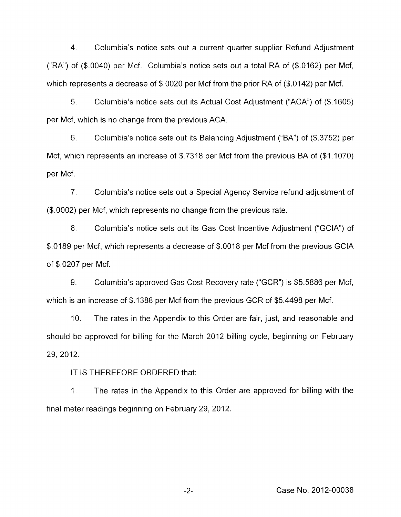4. Columbia's notice sets out a current quarter supplier Refund Adjustment ("RA") of (\$.0040) per Mcf. Columbia's notice sets out a total RA of (\$.0162) per Mcf, which represents a decrease of \$.0020 per Mcf from the prior RA of (\$.0142) per Mcf.

*5.* Columbia's notice sets out its Actual Cost Adjustment ("ACA") of (\$.1605) per Mcf, which is no change from the previous ACA.

6. Columbia's notice sets out its Balancing Adjustment ("BA") of (\$.3752) per Mcf, which represents an increase of \$.7318 per Mcf from the previous BA of (\$1.1070) per Mcf.

7. Columbia's notice sets out a Special Agency Service refund adjustment of (\$.0002) per Mcf, which represents no change from the previous rate.

*8.* Columbia's notice sets out its Gas Cost Incentive Adjustment ("GCIA") of \$.0189 per Mcf, which represents a decrease of \$.0018 per Mcf from the previous GCIA of \$.0207 per Mcf.

9. Columbia's approved Gas Cost Recovery rate ("GCR") is \$5.5886 per Mcf, which is an increase of \$.1388 per Mcf from the previous GCR of \$5.4498 per Mcf.

IO. The rates in the Appendix to this Order are fair, just, and reasonable and should be approved for billing for the March 2012 billing cycle, beginning on February 29, 2012.

IT IS THEREFORE ORDERED that:

1. The rates in the Appendix to this Order are approved for billing with the final meter readings beginning on February 29, 2012.

-2- Case No. 2012-00038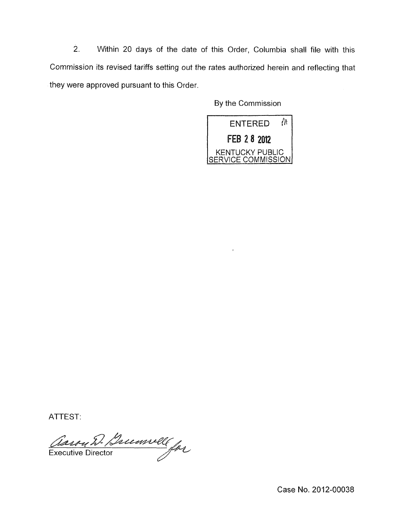*2.* Within 20 days of the date of this Order, Columbia shall file with this Commission its revised tariffs setting out the rates authorized herein and reflecting that they were approved pursuant to this Order.

By the Commission



ATTEST:<br>Assou D. Brumvell for Executive Director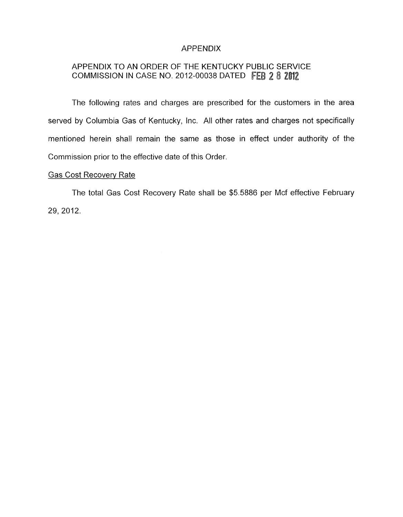### APPENDIX

## APPENDIX TO AN ORDER OF THE KENTUCKY PUBLIC SERVICE COMMISSION IN CASE NO. 2012-00038 DATED FEB 2 8 2012

The fallowing rates and charges are prescribed for the customers in the area served by Columbia Gas of Kentucky, Inc. All other rates and charges not specifically mentioned herein shall remain the same as those in effect under authority of the Commission prior to the effective date of this Order.

#### Gas Cost Recovery Rate

The total Gas Cost Recovery Rate shall be \$5.5886 per Mcf effective February 29, 2012.